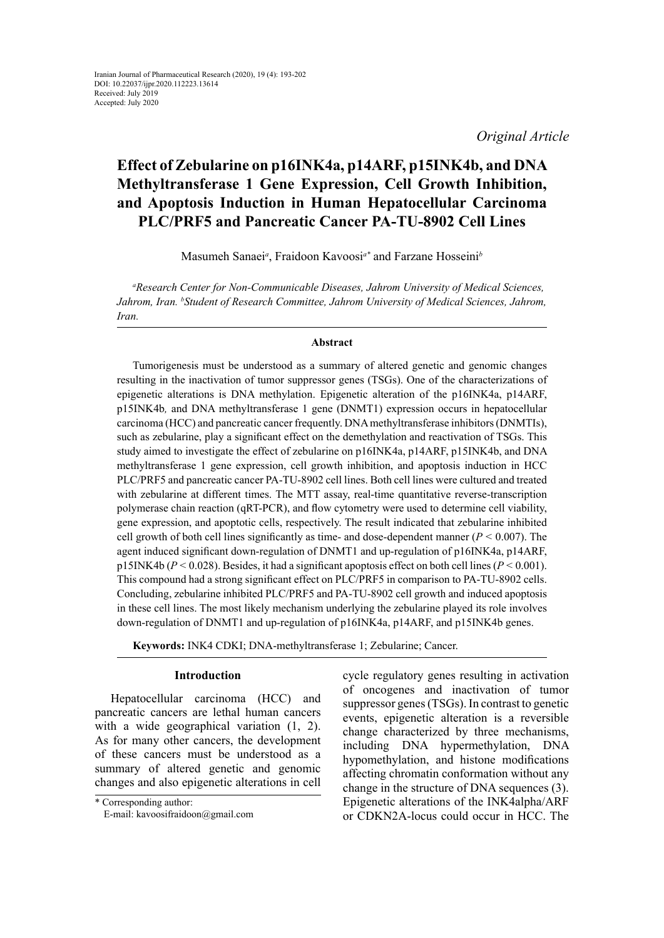*Original Article*

# **Effect of Zebularine on p16INK4a, p14ARF, p15INK4b, and DNA Methyltransferase 1 Gene Expression, Cell Growth Inhibition, and Apoptosis Induction in Human Hepatocellular Carcinoma PLC/PRF5 and Pancreatic Cancer PA-TU-8902 Cell Lines**

Masumeh Sanaei*<sup>a</sup>* , Fraidoon Kavoosi*a\** and Farzane Hosseini*<sup>b</sup>*

*a Research Center for Non-Communicable Diseases, Jahrom University of Medical Sciences, Jahrom, Iran. b Student of Research Committee, Jahrom University of Medical Sciences, Jahrom, Iran.*

# **Abstract**

Tumorigenesis must be understood as a summary of altered genetic and genomic changes resulting in the inactivation of tumor suppressor genes (TSGs). One of the characterizations of epigenetic alterations is DNA methylation. Epigenetic alteration of the p16INK4a, p14ARF, p15INK4b*,* and DNA methyltransferase 1 gene (DNMT1) expression occurs in hepatocellular carcinoma (HCC) and pancreatic cancer frequently. DNA methyltransferase inhibitors (DNMTIs), such as zebularine, play a significant effect on the demethylation and reactivation of TSGs. This study aimed to investigate the effect of zebularine on p16INK4a, p14ARF, p15INK4b, and DNA methyltransferase 1 gene expression, cell growth inhibition, and apoptosis induction in HCC PLC/PRF5 and pancreatic cancer PA-TU-8902 cell lines. Both cell lines were cultured and treated with zebularine at different times. The MTT assay, real-time quantitative reverse-transcription polymerase chain reaction (qRT-PCR), and flow cytometry were used to determine cell viability, gene expression, and apoptotic cells, respectively. The result indicated that zebularine inhibited cell growth of both cell lines significantly as time- and dose-dependent manner (*P <* 0.007). The agent induced significant down-regulation of DNMT1 and up-regulation of p16INK4a, p14ARF, p15INK4b (*P <* 0.028). Besides, it had a significant apoptosis effect on both cell lines (*P <* 0.001). This compound had a strong significant effect on PLC/PRF5 in comparison to PA-TU-8902 cells. Concluding, zebularine inhibited PLC/PRF5 and PA-TU-8902 cell growth and induced apoptosis in these cell lines. The most likely mechanism underlying the zebularine played its role involves down-regulation of DNMT1 and up-regulation of p16INK4a, p14ARF, and p15INK4b genes.

**Keywords:** INK4 CDKI; DNA-methyltransferase 1; Zebularine; Cancer.

# **Introduction**

Hepatocellular carcinoma (HCC) and pancreatic cancers are lethal human cancers with a wide geographical variation  $(1, 2)$ . As for many other cancers, the development of these cancers must be understood as a summary of altered genetic and genomic changes and also [epigenetic](https://www.sciencedirect.com/topics/medicine-and-dentistry/epigenomics) alterations in cell

cycle regulatory genes resulting in activation of oncogenes and inactivation of tumor suppressor genes (TSGs). In contrast to genetic events, epigenetic alteration is a reversible change characterized by three mechanisms, including DNA hypermethylation, DNA hypomethylation, and histone modifications affecting chromatin conformation without any change in the structure of DNA sequences (3). Epigenetic alterations of the INK4alpha/ARF or CDKN2A-locus could occur in HCC. The

<sup>\*</sup> Corresponding author: E-mail: kavoosifraidoon@gmail.com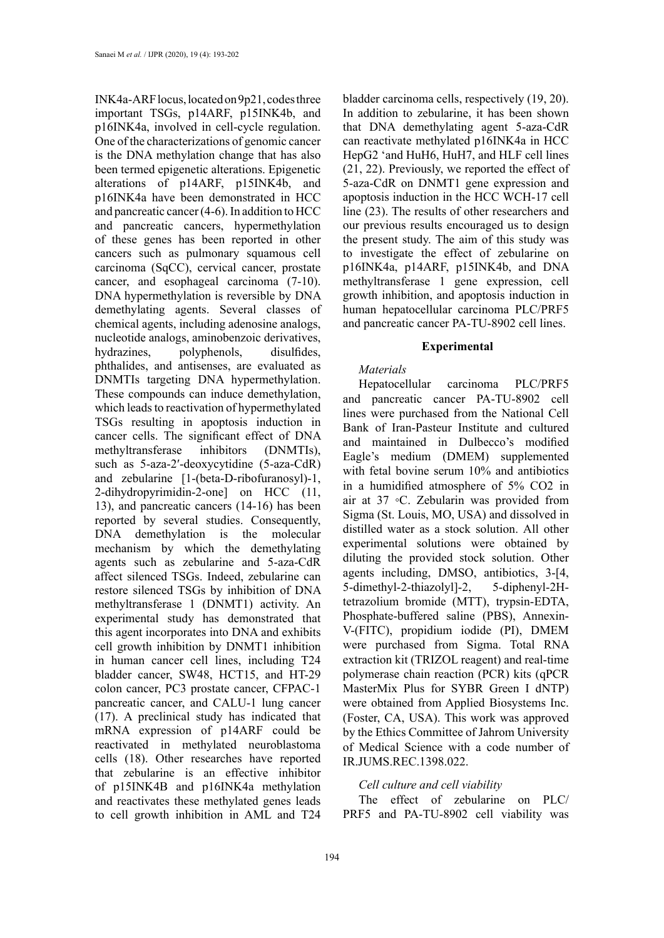INK4a-ARF locus, located on 9p21, codes three important TSGs, p14ARF, p15INK4b, and p16INK4a, involved in cell-cycle regulation. One of the characterizations of genomic cancer is the DNA methylation change that has also been termed epigenetic alterations. Epigenetic alterations of p14ARF, p15INK4b, and p16INK4a have been demonstrated in HCC and pancreatic cancer (4-6). In addition to HCC and pancreatic cancers, hypermethylation of these genes has been reported in other cancers such as pulmonary squamous cell carcinoma (SqCC), cervical cancer, prostate cancer, and esophageal carcinoma (7-10). DNA hypermethylation is reversible by DNA demethylating agents. Several classes of chemical agents, including adenosine analogs, nucleotide analogs, aminobenzoic derivatives, hydrazines, polyphenols, disulfides, phthalides, and antisenses, are evaluated as DNMTIs targeting DNA hypermethylation. These compounds can induce demethylation, which leads to reactivation of hypermethylated TSGs resulting in apoptosis induction in cancer cells. The significant effect of DNA methyltransferase inhibitors (DNMTIs), such as 5-aza-2′-deoxycytidine (5-aza-CdR) and zebularine [1-(beta-D-ribofuranosyl)-1, 2-dihydropyrimidin-2-one] on HCC (11, 13), and pancreatic cancers (14-16) has been reported by several studies. Consequently, DNA demethylation is the molecular mechanism by which the demethylating agents such as [zebularine](https://www.sciencedirect.com/topics/medicine-and-dentistry/zebularine) and 5-aza-CdR affect silenced TSGs. Indeed, [zebularine](https://www.sciencedirect.com/topics/medicine-and-dentistry/zebularine) can restore silenced TSGs by inhibition of [DNA](https://www.sciencedirect.com/topics/medicine-and-dentistry/dna-cytosine-5-methyltransferase-1)  [methyltransferase 1](https://www.sciencedirect.com/topics/medicine-and-dentistry/dna-cytosine-5-methyltransferase-1) (DNMT1) activity. An experimental study has demonstrated that this agent incorporates into DNA and exhibits cell [growth inhibition](https://www.sciencedirect.com/topics/biochemistry-genetics-and-molecular-biology/growth-inhibition) by DNMT1 inhibition in human cancer cell lines, including T24 bladder cancer, SW48, HCT15, and HT-29 colon cancer, PC3 prostate cancer, CFPAC-1 pancreatic cancer, and CALU-1 lung cancer (17). A preclinical study has indicated that mRNA expression of p14ARF could be reactivated in methylated [neuroblastoma](https://www.sciencedirect.com/topics/medicine-and-dentistry/neuroblastoma-cell)  [cells](https://www.sciencedirect.com/topics/medicine-and-dentistry/neuroblastoma-cell) (18). Other researches have reported that zebularine is an effective inhibitor of p15INK4B and p16INK4a methylation and reactivates these methylated genes leads to cell growth inhibition in AML and T24

bladder carcinoma cells, respectively (19, 20). In addition to zebularine, it has been shown that DNA demethylating agent 5-aza-CdR can reactivate methylated p16INK4a in HCC HepG2 'and HuH6, HuH7, and HLF cell lines (21, 22). Previously, we reported the effect of 5-aza-CdR on DNMT1 gene expression and apoptosis induction in the HCC WCH-17 cell line (23). The results of other researchers and our previous results encouraged us to design the present study. The aim of this study was to investigate the effect of zebularine on p16INK4a, p14ARF, p15INK4b, and DNA methyltransferase 1 gene expression, cell growth inhibition, and apoptosis induction in human hepatocellular carcinoma PLC/PRF5 and pancreatic cancer PA-TU-8902 cell lines.

## **Experimental**

# *Materials*

Hepatocellular carcinoma PLC/PRF5 and pancreatic cancer PA-TU-8902 cell lines were purchased from the National Cell Bank of Iran-Pasteur Institute and cultured and maintained in Dulbecco's modified Eagle's medium (DMEM) supplemented with fetal bovine serum 10% and antibiotics in a humidified atmosphere of 5% CO2 in air at 37 ◦C. Zebularin was provided from Sigma (St. Louis, MO, USA) and dissolved in distilled water as a stock solution. All other experimental solutions were obtained by diluting the provided stock solution. Other agents including, DMSO, antibiotics, 3-[4, 5-dimethyl-2-thiazolyl]-2, 5-diphenyl-2Htetrazolium bromide (MTT), trypsin-EDTA, Phosphate-buffered saline (PBS), Annexin-V-(FITC), propidium iodide (PI), DMEM were purchased from Sigma. Total RNA extraction kit (TRIZOL reagent) and real-time polymerase chain reaction (PCR) kits (qPCR MasterMix Plus for SYBR Green I dNTP) were obtained from Applied Biosystems Inc. (Foster, CA, USA). This work was approved by the Ethics Committee of Jahrom University of Medical Science with a code number of IR.JUMS.REC.1398.022.

# *Cell culture and cell viability*

The effect of zebularine on PLC/ PRF5 and PA-TU-8902 cell viability was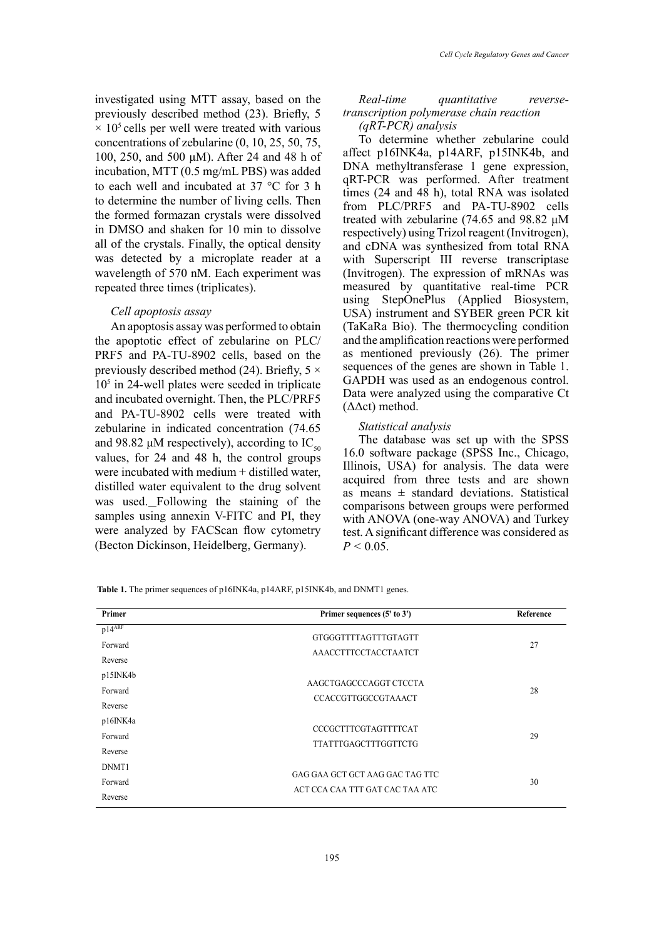investigated using MTT assay, based on the previously described method (23). Briefly, 5  $\times$  10<sup>5</sup> cells per well were treated with various concentrations of zebularine (0, 10, 25, 50, 75, 100, 250, and 500 μM). After 24 and 48 h of incubation, MTT (0.5 mg/mL PBS) was added to each well and incubated at 37 °C for 3 h to determine the number of living cells. Then the formed formazan crystals were dissolved in DMSO and shaken for 10 min to dissolve all of the crystals. Finally, the optical density was detected by a microplate reader at a wavelength of 570 nM. Each experiment was repeated three times (triplicates).

## *Cell apoptosis assay*

An apoptosis assay was performed to obtain the apoptotic effect of zebularine on PLC/ PRF5 and PA-TU-8902 cells, based on the previously described method (24). Briefly,  $5 \times$ 105 in 24-well plates were seeded in triplicate and incubated overnight. Then, the PLC/PRF5 and PA-TU-8902 cells were treated with zebularine in indicated concentration (74.65 and 98.82  $\mu$ M respectively), according to IC<sub>50</sub> values, for 24 and 48 h, the control groups were incubated with medium + distilled water. distilled water equivalent to the drug solvent was used. Following the staining of the samples using annexin V-FITC and PI, they were analyzed by FACScan flow cytometry (Becton Dickinson, Heidelberg, Germany).

# *Real-time quantitative reversetranscription polymerase chain reaction (qRT-PCR) analysis*

To determine whether zebularine could affect p16INK4a, p14ARF, p15INK4b, and DNA methyltransferase 1 gene expression, qRT-PCR was performed. After treatment times (24 and 48 h), total RNA was isolated from PLC/PRF5 and PA-TU-8902 cells treated with zebularine (74.65 and 98.82 μM respectively) using Trizol reagent (Invitrogen), and cDNA was synthesized from total RNA with Superscript III reverse transcriptase (Invitrogen). The expression of mRNAs was measured by quantitative real-time PCR using StepOnePlus (Applied Biosystem, USA) instrument and SYBER green PCR kit (TaKaRa Bio). The thermocycling condition and the amplification reactions were performed as mentioned previously (26). The primer sequences of the genes are shown in Table 1. GAPDH was used as an endogenous control. Data were analyzed using the comparative Ct (ΔΔct) method.

#### *Statistical analysis*

The database was set up with the SPSS 16.0 software package (SPSS Inc., Chicago, Illinois, USA) for analysis. The data were acquired from three tests and are shown as means  $\pm$  standard deviations. Statistical comparisons between groups were performed with ANOVA (one-way ANOVA) and Turkey test. A significant difference was considered as  $P < 0.05$ .

| Primer      | Primer sequences $(5'$ to $3')$ | Reference |  |
|-------------|---------------------------------|-----------|--|
| $p14^{ARF}$ | GTGGGTTTTAGTTTGTAGTT            |           |  |
| Forward     | AAACCTTTCCTACCTAATCT            | 27        |  |
| Reverse     |                                 |           |  |
| p15INK4b    | AAGCTGAGCCCAGGT CTCCTA          |           |  |
| Forward     |                                 | 28        |  |
| Reverse     | CCACCGTTGGCCGTAAACT             |           |  |
| p16INK4a    | CCCGCTTTCGTAGTTTTCAT            |           |  |
| Forward     |                                 | 29        |  |
| Reverse     | <b>TTATTTGAGCTTTGGTTCTG</b>     |           |  |
| DNMT1       |                                 |           |  |
| Forward     | GAG GAA GCT GCT AAG GAC TAG TTC | 30        |  |
| Reverse     | ACT CCA CAA TTT GAT CAC TAA ATC |           |  |

**Table 1.** The primer sequences of p16INK4a, p14ARF, p15INK4b, and DNMT1 genes. **Table 1.** The primer sequences of p16INK4a, p14ARF, p15INK4b, and DNMT1 genes.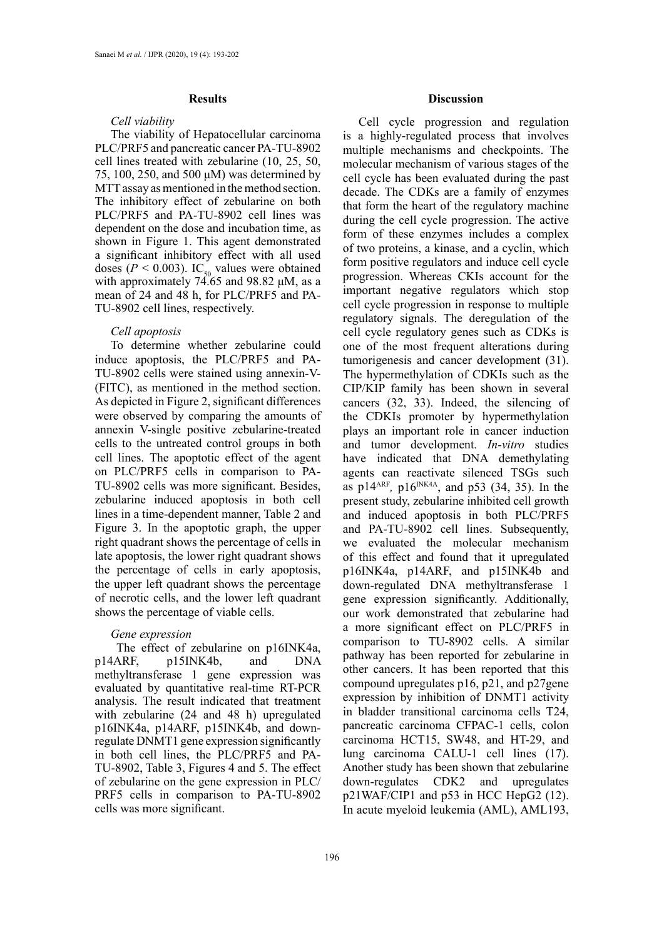#### **Results**

#### *Cell viability*

The viability of Hepatocellular carcinoma PLC/PRF5 and pancreatic cancer PA-TU-8902 cell lines treated with zebularine (10, 25, 50, 75, 100, 250, and 500 μM) was determined by MTT assay as mentioned in the method section. The inhibitory effect of zebularine on both PLC/PRF5 and PA-TU-8902 cell lines was dependent on the dose and incubation time, as shown in Figure 1. This agent demonstrated a significant inhibitory effect with all used doses ( $P < 0.003$ ). IC<sub>50</sub> values were obtained with approximately 74.65 and 98.82 μM, as a mean of 24 and 48 h, for PLC/PRF5 and PA-TU-8902 cell lines, respectively.

#### *Cell apoptosis*

To determine whether zebularine could induce apoptosis, the PLC/PRF5 and PA-TU-8902 cells were stained using annexin-V- (FITC), as mentioned in the method section. As depicted in Figure 2, significant differences were observed by comparing the amounts of annexin V-single positive zebularine-treated cells to the untreated control groups in both cell lines. The apoptotic effect of the agent on PLC/PRF5 cells in comparison to PA-TU-8902 cells was more significant. Besides, zebularine induced apoptosis in both cell lines in a time-dependent manner, Table 2 and Figure 3. In the apoptotic graph, the upper right quadrant shows the percentage of cells in late apoptosis, the lower right quadrant shows the percentage of cells in early apoptosis, the upper left quadrant shows the percentage of necrotic cells, and the lower left quadrant shows the percentage of viable cells.

# *Gene expression*

The effect of zebularine on p16INK4a, p14ARF, p15INK4b, and DNA methyltransferase 1 gene expression was evaluated by quantitative real-time RT-PCR analysis. The result indicated that treatment with zebularine (24 and 48 h) upregulated p16INK4a, p14ARF, p15INK4b, and downregulate DNMT1 gene expression significantly in both cell lines, the PLC/PRF5 and PA-TU-8902, Table 3, Figures 4 and 5. The effect of zebularine on the gene expression in PLC/ PRF5 cells in comparison to PA-TU-8902 cells was more significant.

# **Discussion**

Cell cycle progression and regulation is a highly-regulated process that involves multiple mechanisms and checkpoints. The molecular mechanism of various stages of the cell cycle has been evaluated during the past decade. The CDKs are a family of enzymes that form the heart of the regulatory machine during the cell cycle progression. The active form of these enzymes includes a complex of two proteins, a kinase, and a cyclin, which form positive regulators and induce cell cycle progression. Whereas CKIs account for the important negative regulators which stop cell cycle progression in response to multiple regulatory signals. The deregulation of the cell cycle regulatory genes such as CDKs is one of the most frequent alterations during tumorigenesis and cancer development (31). The hypermethylation of CDKIs such as the CIP/KIP family has been shown in several cancers (32, 33). Indeed, the silencing of the CDKIs promoter by hypermethylation plays an important role in cancer induction and tumor development. *In-vitro* studies have indicated that DNA demethylating agents can reactivate silenced TSGs such as  $p14^{ARF}$ ,  $p16^{INK4A}$ , and  $p53$  (34, 35). In the present study, zebularine inhibited cell growth and induced apoptosis in both PLC/PRF5 and PA-TU-8902 cell lines. Subsequently, we evaluated the molecular mechanism of this effect and found that it upregulated p16INK4a, p14ARF, and p15INK4b and down-regulated DNA methyltransferase 1 gene expression significantly. Additionally, our work demonstrated that zebularine had a more significant effect on PLC/PRF5 in comparison to TU-8902 cells. A similar pathway has been reported for zebularine in other cancers. It has been reported that this compound upregulates p16, p21, and p27gene expression by inhibition of DNMT1 activity in bladder transitional carcinoma cells T24, pancreatic carcinoma CFPAC-1 cells, colon carcinoma HCT15, SW48, and HT-29, and lung carcinoma CALU-1 cell lines (17). Another study has been shown that zebularine down-regulates CDK2 and upregulates p21WAF/CIP1 and p53 in HCC HepG2 (12). In acute myeloid leukemia (AML), AML193,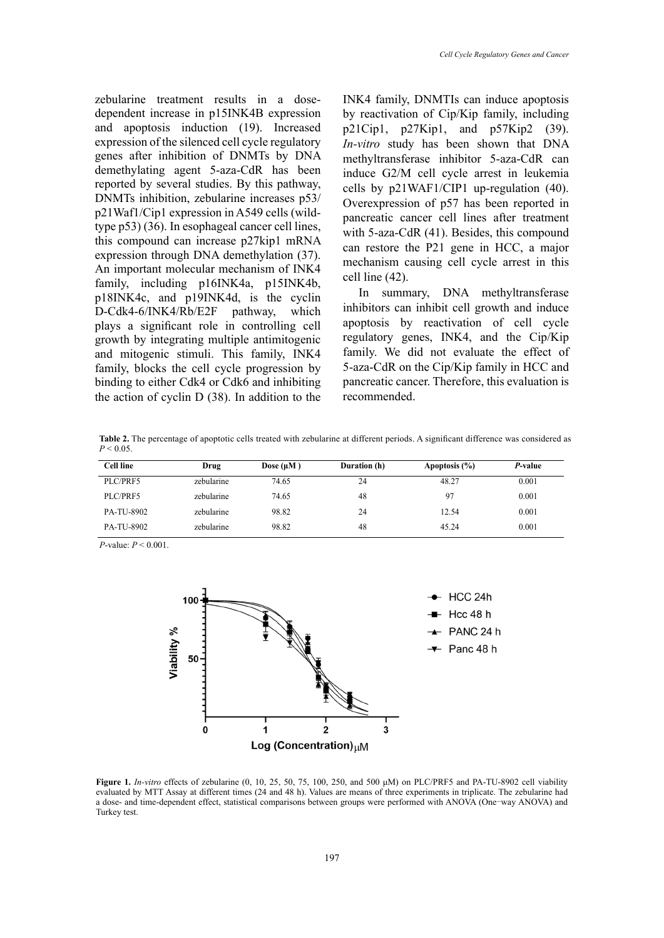zebularine treatment results in a dosedependent increase in p15INK4B expression and apoptosis induction (19). Increased expression of the silenced cell cycle regulatory genes after inhibition of DNMTs by DNA demethylating agent 5-aza-CdR has been reported by several studies. By this pathway, DNMTs inhibition, zebularine increases p53/ p21Waf1/Cip1 expression in A549 cells (wildtype p53) (36). In esophageal cancer cell lines, this compound can increase p27kip1 mRNA expression through DNA demethylation (37). An important molecular mechanism of INK4 family, including p16INK4a, p15INK4b, p18INK4c, and p19INK4d, is the cyclin D-Cdk4-6/INK4/Rb/E2F pathway, which plays a significant role in controlling cell growth by integrating multiple antimitogenic and mitogenic stimuli. This family, INK4 family, blocks the cell cycle progression by binding to either Cdk4 or Cdk6 and inhibiting the action of cyclin D (38). In addition to the

INK4 family, DNMTIs can induce apoptosis by reactivation of Cip/Kip family, including p21Cip1, p27Kip1, and p57Kip2 (39). *In-vitro* study has been shown that DNA methyltransferase inhibitor 5-aza-CdR can induce G2/M cell cycle arrest in leukemia cells by p21WAF1/CIP1 up-regulation (40). Overexpression of p57 has been reported in pancreatic cancer cell lines after treatment with 5-aza-CdR (41). Besides, this compound can restore the P21 gene in HCC, a major mechanism causing cell cycle arrest in this cell line (42).

In summary, DNA methyltransferase inhibitors can inhibit cell growth and induce apoptosis by reactivation of cell cycle regulatory genes, INK4, and the Cip/Kip family. We did not evaluate the effect of 5-aza-CdR on the Cip/Kip family in HCC and pancreatic cancer. Therefore, this evaluation is recommended.

**Table 2.** The percentage of apoptotic cells treated with zebularine at different periods. A significant difference was considered as  $P < 0.05$ 

| <b>Cell line</b> | Drug       | Dose $(\mu M)$ | Duration (h) | Apoptosis $(\% )$ | P-value |
|------------------|------------|----------------|--------------|-------------------|---------|
| PLC/PRF5         | zebularine | 74.65          | 24           | 48.27             | 0.001   |
| PLC/PRF5         | zebularine | 74.65          | 48           | 97                | 0.001   |
| PA-TU-8902       | zebularine | 98.82          | 24           | 12.54             | 0.001   |
| PA-TU-8902       | zebularine | 98.82          | 48           | 45.24             | 0.001   |

*P*-value: *P* < 0.001.



*b* effects of zebularine (0, 10, 25, 50, 75, 100, 250, and 500 μM) on PLC/PRF5 and PA-TU-8902 cell viability  $\overline{\phantom{a}}$  assay at different times (24 and 48 h). Values are means of three experiments in triplicate. The zebularine had a dose- and time-dependent effect, statistical comparisons between groups were performed with ANOVA (One–way ANOVA) and<br>Turkey test. **Figure 1.** *In-vitro* effects of zebularine (0, 10, 25, 50, 75, 100, 250, and 500 μM) on PLC/PRF5 and PA-TU-8902 cell viability evaluated by MTT Assay at different times (24 and 48 h). Values are means of three experiments in triplicate. The zebularine had Turkey test.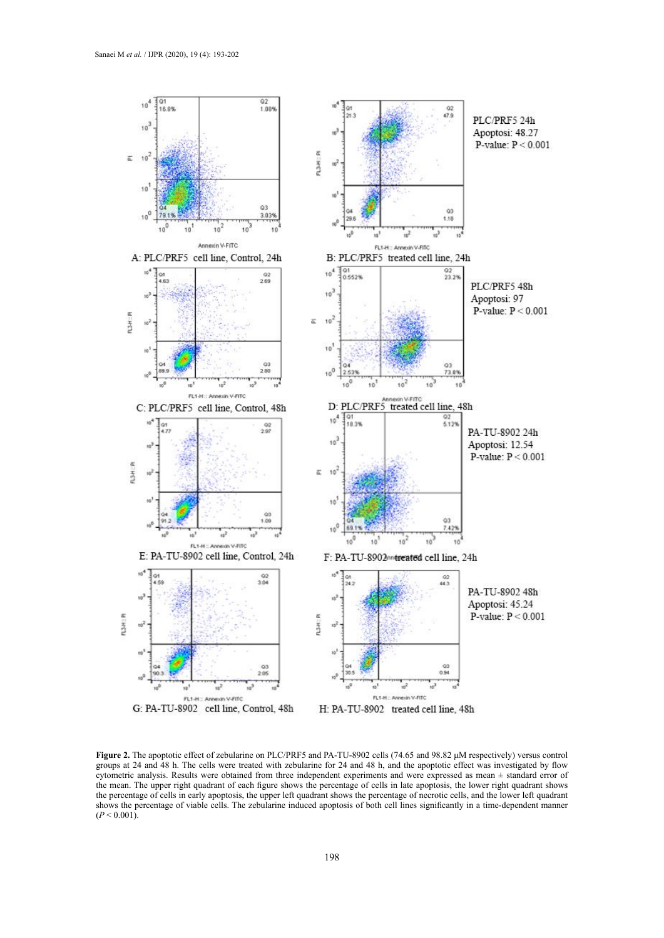

**Figure 2.** The apoptotic effect of zebularine on PLC/PRF5 and PA-TU-8902 cells (74.65 and 98.82 μM respectively) versus control groups at 24 and 48 h. The cells were treated with zebularine for 24 and 48 h, and the apoptotic effect was investigated by flow cytometric analysis. Results were obtained from three independent experiments and were expressed as mean ± standard error of the mean. The upper right quadrant of each figure shows the percentage of cells in late apoptosis, the lower right quadrant shows the percentage of cells in early apoptosis, the upper left quadrant shows the percentage of necrotic cells, and the lower left quadrant shows the percentage of viable cells. The zebularine induced apoptosis of both cell lines significantly in a time-dependent manner  $(P < 0.001)$ .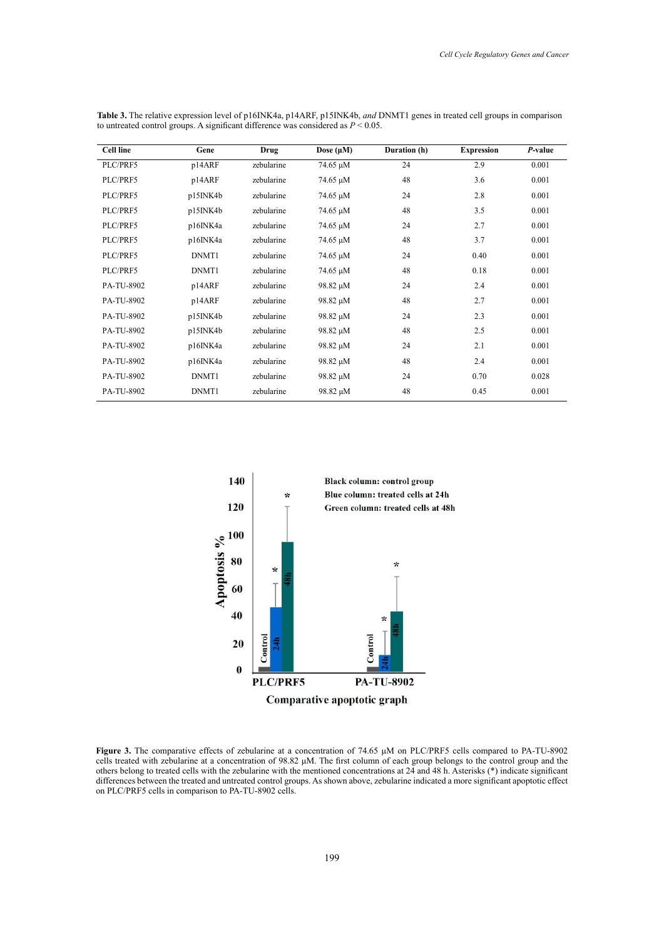| <b>Cell line</b> | Gene     | Drug       | Dose $(\mu M)$ | Duration (h) | <b>Expression</b> | P-value |
|------------------|----------|------------|----------------|--------------|-------------------|---------|
| PLC/PRF5         | p14ARF   | zebularine | 74.65 μM       | 24           | 2.9               | 0.001   |
| PLC/PRF5         | p14ARF   | zebularine | 74.65 µM       | 48           | 3.6               | 0.001   |
| PLC/PRF5         | p15INK4b | zebularine | 74.65 µM       | 24           | 2.8               | 0.001   |
| PLC/PRF5         | p15INK4b | zebularine | 74.65 µM       | 48           | 3.5               | 0.001   |
| PLC/PRF5         | p16INK4a | zebularine | 74.65 µM       | 24           | 2.7               | 0.001   |
| PLC/PRF5         | p16INK4a | zebularine | 74.65 µM       | 48           | 3.7               | 0.001   |
| PLC/PRF5         | DNMT1    | zebularine | 74.65 µM       | 24           | 0.40              | 0.001   |
| PLC/PRF5         | DNMT1    | zebularine | 74.65 µM       | 48           | 0.18              | 0.001   |
| PA-TU-8902       | p14ARF   | zebularine | 98.82 µM       | 24           | 2.4               | 0.001   |
| PA-TU-8902       | p14ARF   | zebularine | 98.82 µM       | 48           | 2.7               | 0.001   |
| PA-TU-8902       | p15INK4b | zebularine | 98.82 µM       | 24           | 2.3               | 0.001   |
| PA-TU-8902       | p15INK4b | zebularine | 98.82 µM       | 48           | 2.5               | 0.001   |
| PA-TU-8902       | p16INK4a | zebularine | 98.82 µM       | 24           | 2.1               | 0.001   |
| PA-TU-8902       | p16INK4a | zebularine | 98.82 µM       | 48           | 2.4               | 0.001   |
| PA-TU-8902       | DNMT1    | zebularine | 98.82 µM       | 24           | 0.70              | 0.028   |
| PA-TU-8902       | DNMT1    | zebularine | 98.82 µM       | 48           | 0.45              | 0.001   |

to untreated control groups. A significant difference was considered as  $P \le 0.05$ . **Table 3.** The relative expression level of p16INK4a, p14ARF, p15INK4b, *and* DNMT1 genes in treated cell groups in comparison



Figure 3. The comparative effects of zebularine at a concentration of 74.65  $\mu$ M on PLC/PRF5 cells compared to PA-TU-8902 cells treated with zebularine at a concentration of 98.82  $\mu$ M. The first column of each group belongs to the control group and the differences between the treated and untreated control groups. As shown above, zebularine indicated a more significant apoptotic effect others belong to treated cells with the zebularine with the mentioned concentrations at 24 and 48 h. Asterisks (\*) indicate significant on PLC/PRF5 cells in comparison to PA-TU-8902 cells.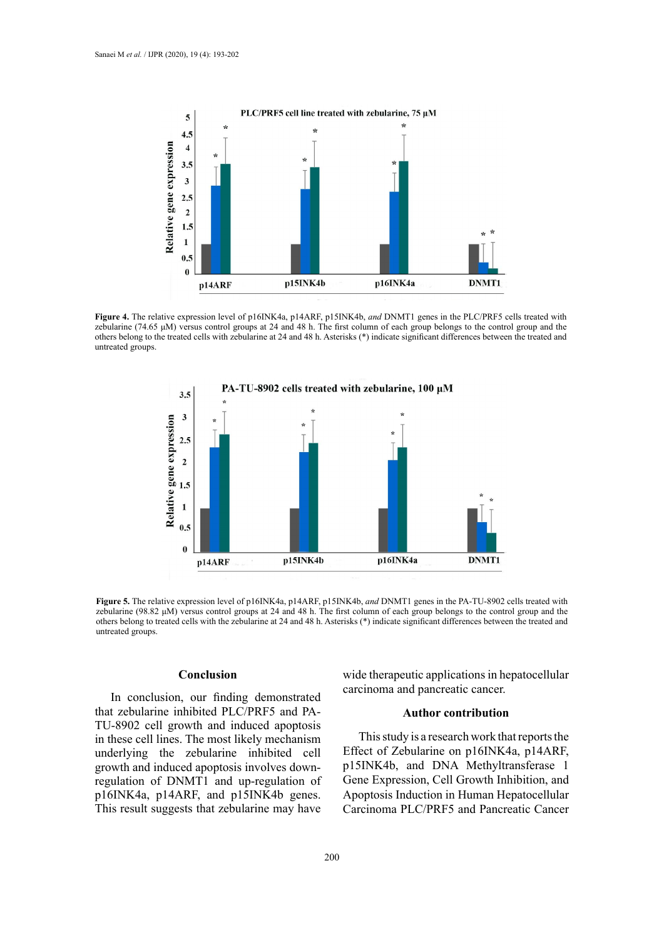

zebularine (74.65 μM) versus control groups at 24 and 48 h. The first column of each group belongs to the control group and the others belong to the treated cells with zebularine at 24 and 48 h. Asterisks (\*) indicate significant differences between the treated and **Figure 4.** The relative expression level of p16INK4a, p14ARF, p15INK4b, *and* DNMT1 genes in the PLC/PRF5 cells treated with untreated groups.



zebularine (98.82 µM) versus control groups at 24 and 48 h. The first column of each group belongs to the control group and the others belong to treated cells with the zebularine at 24 and 48 h. Asterisks (\*) indicate significant differences between the treated and **Figure 5.** The relative expression level of p16INK4a, p14ARF, p15INK4b, *and* DNMT1 genes in the PA-TU-8902 cells treated with untreated groups.

# **Conclusion**

In conclusion, our finding demonstrated that zebularine inhibited PLC/PRF5 and PA-TU-8902 cell growth and induced apoptosis in these cell lines. The most likely mechanism underlying the zebularine inhibited cell growth and induced apoptosis involves downregulation of DNMT1 and up-regulation of p16INK4a, p14ARF, and p15INK4b genes. This result suggests that zebularine may have

wide therapeutic applications in hepatocellular carcinoma and pancreatic cancer.

# **Author contribution**

This study is a research work that reports the Effect of Zebularine on p16INK4a, p14ARF, p15INK4b, and DNA Methyltransferase 1 Gene Expression, Cell Growth Inhibition, and Apoptosis Induction in Human Hepatocellular Carcinoma PLC/PRF5 and Pancreatic Cancer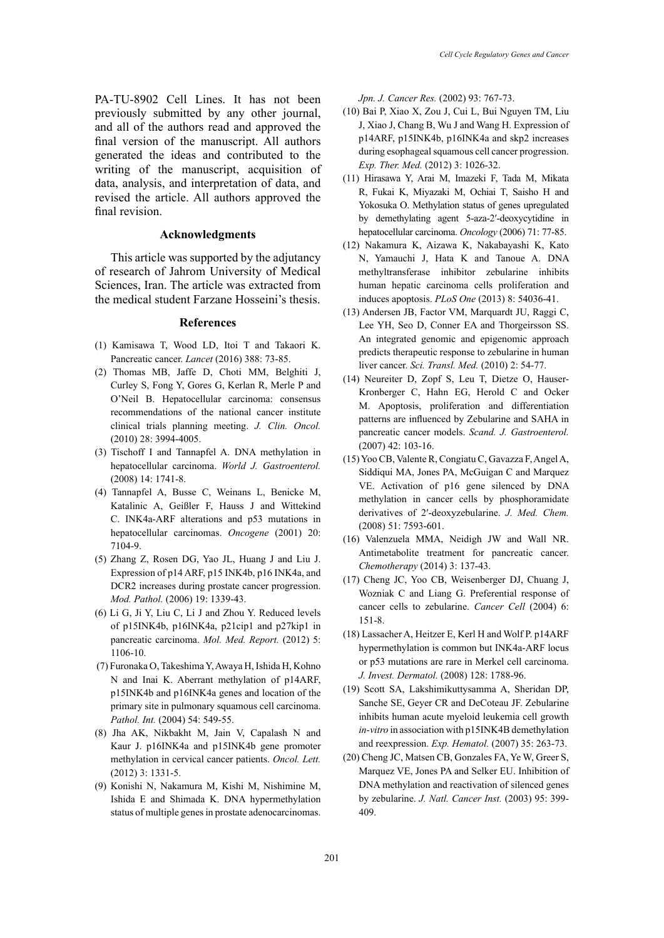PA-TU-8902 Cell Lines. It has not been previously submitted by any other journal, and all of the authors read and approved the final version of the manuscript. All authors generated the ideas and contributed to the writing of the manuscript, acquisition of data, analysis, and interpretation of data, and revised the article. All authors approved the final revision.

# **Acknowledgments**

This article was supported by the adjutancy of research of Jahrom University of Medical Sciences, Iran. The article was extracted from the medical student Farzane Hosseini's thesis.

# **References**

- (1) Kamisawa T, Wood LD, Itoi T and Takaori K. Pancreatic cancer. *Lancet* (2016) 388: 73-85.
- (2) Thomas MB, Jaffe D, Choti MM, Belghiti J, Curley S, Fong Y, Gores G, Kerlan R, Merle P and O'Neil B. Hepatocellular carcinoma: consensus recommendations of the national cancer institute clinical trials planning meeting. *J. Clin. Oncol.* (2010) 28: 3994-4005.
- (3) Tischoff I and Tannapfel A. DNA methylation in hepatocellular carcinoma. *World J. Gastroenterol.* (2008) 14: 1741-8.
- (4) Tannapfel A, Busse C, Weinans L, Benicke M, Katalinic A, Geißler F, Hauss J and Wittekind C. INK4a-ARF alterations and p53 mutations in hepatocellular carcinomas. *Oncogene* (2001) 20: 7104-9.
- (5) Zhang Z, Rosen DG, Yao JL, Huang J and Liu J. Expression of p14 ARF, p15 INK4b, p16 INK4a, and DCR2 increases during prostate cancer progression. *Mod. Pathol.* (2006) 19: 1339-43.
- (6) Li G, Ji Y, Liu C, Li J and Zhou Y. Reduced levels of p15INK4b, p16INK4a, p21cip1 and p27kip1 in pancreatic carcinoma. *Mol. Med. Report.* (2012) 5: 1106-10.
- (7) Furonaka O, Takeshima Y, Awaya H, Ishida H, Kohno N and Inai K. Aberrant methylation of p14ARF, p15INK4b and p16INK4a genes and location of the primary site in pulmonary squamous cell carcinoma. *Pathol. Int.* (2004) 54: 549-55.
- (8) Jha AK, Nikbakht M, Jain V, Capalash N and Kaur J. p16INK4a and p15INK4b gene promoter methylation in cervical cancer patients. *Oncol. Lett.* (2012) 3: 1331-5.
- (9) Konishi N, Nakamura M, Kishi M, Nishimine M, Ishida E and Shimada K. DNA hypermethylation status of multiple genes in prostate adenocarcinomas.

*Jpn. J. Cancer Res.* (2002) 93: 767-73.

- (10) Bai P, Xiao X, Zou J, Cui L, Bui Nguyen TM, Liu J, Xiao J, Chang B, Wu J and Wang H. Expression of p14ARF, p15INK4b, p16INK4a and skp2 increases during esophageal squamous cell cancer progression. *Exp. Ther. Med.* (2012) 3: 1026-32.
- (11) Hirasawa Y, Arai M, Imazeki F, Tada M, Mikata R, Fukai K, Miyazaki M, Ochiai T, Saisho H and Yokosuka O. Methylation status of genes upregulated by demethylating agent 5-aza-2′-deoxycytidine in hepatocellular carcinoma. *Oncology* (2006) 71: 77-85.
- (12) Nakamura K, Aizawa K, Nakabayashi K, Kato N, Yamauchi J, Hata K and Tanoue A. DNA methyltransferase inhibitor zebularine inhibits human hepatic carcinoma cells proliferation and induces apoptosis. *PLoS One* (2013) 8: 54036-41.
- (13) Andersen JB, Factor VM, Marquardt JU, Raggi C, Lee YH, Seo D, Conner EA and Thorgeirsson SS. An integrated genomic and epigenomic approach predicts therapeutic response to zebularine in human liver cancer. *Sci. Transl. Med.* (2010) 2: 54-77.
- (14) Neureiter D, Zopf S, Leu T, Dietze O, Hauser-Kronberger C, Hahn EG, Herold C and Ocker M. Apoptosis, proliferation and differentiation patterns are influenced by Zebularine and SAHA in pancreatic cancer models. *Scand. J. Gastroenterol.* (2007) 42: 103-16.
- (15) Yoo CB, Valente R, Congiatu C, Gavazza F, Angel A, Siddiqui MA, Jones PA, McGuigan C and Marquez VE. Activation of p16 gene silenced by DNA methylation in cancer cells by phosphoramidate derivatives of 2′-deoxyzebularine. *J. Med. Chem.* (2008) 51: 7593-601.
- (16) Valenzuela MMA, Neidigh JW and Wall NR. Antimetabolite treatment for pancreatic cancer. *Chemotherapy* (2014) 3: 137-43.
- (17) Cheng JC, Yoo CB, Weisenberger DJ, Chuang J, Wozniak C and Liang G. Preferential response of cancer cells to zebularine. *Cancer Cell* (2004) 6: 151-8.
- (18) Lassacher A, Heitzer E, Kerl H and Wolf P. p14ARF hypermethylation is common but INK4a-ARF locus or p53 mutations are rare in Merkel cell carcinoma. *J. Invest. Dermatol.* (2008) 128: 1788-96.
- (19) Scott SA, Lakshimikuttysamma A, Sheridan DP, Sanche SE, Geyer CR and DeCoteau JF. Zebularine inhibits human acute myeloid leukemia cell growth *in-vitro* in association with p15INK4B demethylation and reexpression. *Exp. Hematol.* (2007) 35: 263-73.
- (20) Cheng JC, Matsen CB, Gonzales FA, Ye W, Greer S, Marquez VE, Jones PA and Selker EU. Inhibition of DNA methylation and reactivation of silenced genes by zebularine. *J. Natl. Cancer Inst.* (2003) 95: 399- 409.